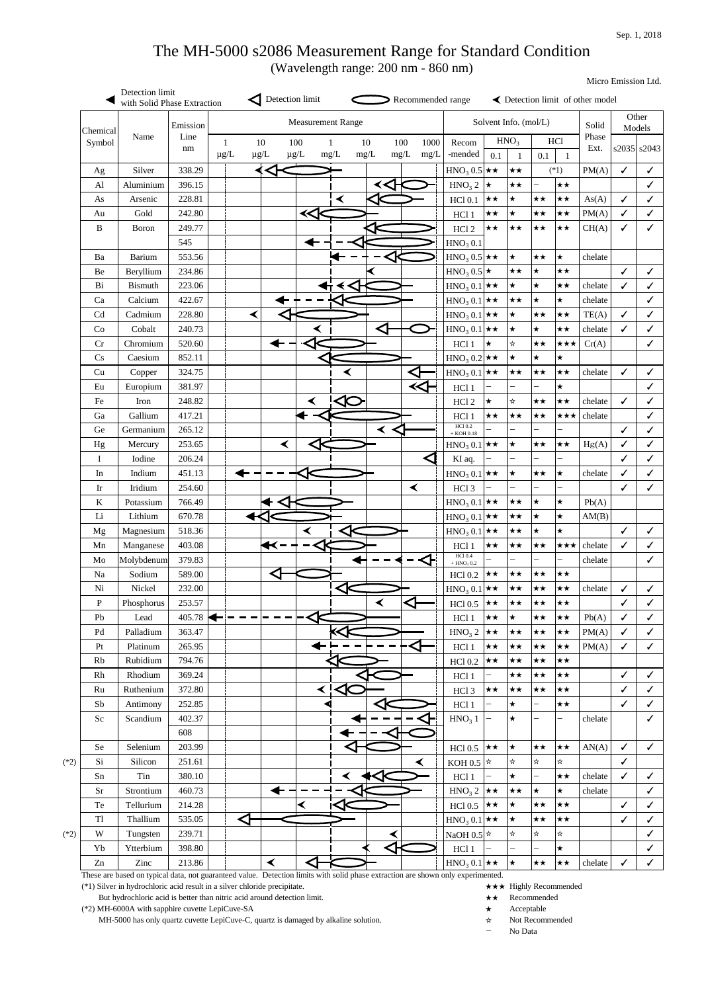| Chemical                   |                | Emission   |                |                       |                  |                      | <b>Measurement Range</b> |                          |                      |                      |                                          |                          | Solvent Info. (mol/L)            |                          |                          | Solid         |                 | Other<br>Models |
|----------------------------|----------------|------------|----------------|-----------------------|------------------|----------------------|--------------------------|--------------------------|----------------------|----------------------|------------------------------------------|--------------------------|----------------------------------|--------------------------|--------------------------|---------------|-----------------|-----------------|
| Symbol                     | Name           | Line<br>nm | 1<br>$\mu g/L$ | 10<br>$\mu\text{g}/L$ | 100<br>$\mu g/L$ |                      | 1<br>mg/L                | 10<br>$mg/L$             | 100<br>$mg/L$        | 1000<br>mg/L         | Recom<br>-mended                         | 0.1                      | HNO <sub>3</sub><br>$\mathbf{1}$ | 0.1                      | <b>HCl</b><br>1          | Phase<br>Ext. | $s2035$ $s2043$ |                 |
| Ag                         | Silver         | 338.29     |                |                       |                  |                      |                          |                          |                      |                      | $HNO3 0.5$ $\star \star$                 |                          | ★★                               |                          | $(*1)$                   | PM(A)         | $\checkmark$    |                 |
| $\mathbf{A}$ l             | Aluminium      | 396.15     |                |                       |                  |                      |                          |                          |                      |                      | HNO <sub>3</sub> 2                       | $\vert \star$            | $\star\star$                     | $\overline{\phantom{0}}$ | $\star\star$             |               |                 |                 |
| As                         | Arsenic        | 228.81     |                |                       |                  |                      | ≺                        |                          |                      |                      | <b>HCl 0.1</b>                           | $\star\star$             | $\star$                          | $\star\star$             | $\star\star$             | As(A)         | $\checkmark$    |                 |
| Au                         | Gold           | 242.80     |                |                       |                  | ⋘                    |                          |                          |                      |                      | HCl 1                                    | $\star\star$             | $\star$                          | $\star\star$             | $\star\star$             | PM(A)         | $\checkmark$    |                 |
| B                          | <b>Boron</b>   | 249.77     |                |                       |                  |                      |                          |                          |                      |                      | HCl <sub>2</sub>                         | $\star\star$             | $\star\star$                     | $\star\star$             | $\star\star$             | CH(A)         | ✓               |                 |
|                            |                | 545        |                |                       |                  |                      |                          |                          |                      |                      | HNO <sub>3</sub> 0.1                     |                          |                                  |                          |                          |               |                 |                 |
| Ba                         | <b>Barium</b>  | 553.56     |                |                       |                  |                      |                          |                          |                      |                      | $HNO3 0.5$ $\star \star$                 |                          | ┢                                | $\star\star$             | ★                        | chelate       |                 |                 |
| Be                         | Beryllium      | 234.86     |                |                       |                  |                      |                          |                          |                      |                      | $HNO3 0.5$ $\star$                       |                          | $\star\star$                     | $\bigstar$               | $\star\star$             |               | $\checkmark$    |                 |
| Bi                         | <b>Bismuth</b> | 223.06     |                |                       |                  |                      |                          |                          |                      |                      | $HNO3 0.1$ $\star \star$                 |                          | $\star$                          | $\star$                  | $\star\star$             | chelate       | $\checkmark$    |                 |
| Ca                         | Calcium        | 422.67     |                |                       |                  |                      |                          |                          |                      |                      | $HNO3 0.1$ $\star \star$                 |                          | $\star\star$                     | $\bigstar$               | $\star$                  | chelate       |                 |                 |
| Cd                         | Cadmium        | 228.80     |                | ≺                     |                  |                      |                          |                          |                      |                      | $HNO3 0.1$ $\star \star$                 |                          | $\star$                          | $\star\star$             | $\star\star$             | TE(A)         | ✓               |                 |
| Co                         | Cobalt         | 240.73     |                |                       |                  | ≺                    |                          |                          |                      |                      | $HNO3 0.1$ $\star \star$                 |                          | $\star$                          | $\star$                  | $\star\star$             | chelate       | $\checkmark$    |                 |
| Cr                         | Chromium       | 520.60     |                |                       |                  |                      |                          |                          |                      |                      | HC11                                     | $\star$                  | $\star$                          | ★★                       | ★★★                      | Cr(A)         |                 |                 |
| Cs                         | Caesium        | 852.11     |                |                       |                  |                      |                          |                          |                      |                      | $HNO3 0.2$ $\star \star$                 |                          | $\star$                          | $\star$                  | $\star$                  |               |                 |                 |
| Cu                         | Copper         | 324.75     |                |                       |                  |                      |                          |                          |                      |                      | $HNO3 0.1$ $\star \star$                 |                          | $\star\star$                     | $\star\star$             | $\star\star$             | chelate       | ✓               |                 |
| Eu                         | Europium       | 381.97     |                |                       |                  |                      |                          |                          | ≺≺⊦                  |                      | HCl 1                                    | $\overline{\phantom{0}}$ |                                  |                          | $\star$                  |               |                 |                 |
| Fe                         | Iron           | 248.82     |                |                       |                  |                      |                          |                          |                      |                      | HCl <sub>2</sub>                         | $\star$                  | $\frac{1}{N}$                    | $\star\star$             | $\star\star$             | chelate       | ✓               |                 |
| Ga                         | Gallium        | 417.21     |                |                       |                  |                      |                          |                          |                      |                      | HCl 1                                    | $\star\star$             | $\star\star$                     | $\star\star$             | ★★★                      | chelate       |                 |                 |
| Ge                         | Germanium      | 265.12     |                |                       |                  |                      |                          | ≺                        |                      |                      | <b>HCl 0.2</b>                           |                          |                                  |                          | $\overline{\phantom{0}}$ |               | $\checkmark$    |                 |
| Hg                         | Mercury        | 253.65     |                |                       | ≺                |                      |                          |                          |                      |                      | $+$ KOH 0.18<br>$HNO3 0.1$ $\star \star$ |                          | $\star$                          | $\star\star$             | $\star\star$             | Hg(A)         | ✓               |                 |
| $\mathbf I$                | Iodine         | 206.24     |                |                       |                  |                      |                          |                          |                      |                      | KI aq.                                   |                          |                                  |                          |                          |               | $\checkmark$    |                 |
| In                         | Indium         | 451.13     |                |                       |                  |                      |                          |                          |                      |                      | $HNO3 0.1$ $\star \star$                 |                          | $\star$                          | $\star\star$             | $\star$                  | chelate       | $\checkmark$    |                 |
| $\mathop{\rm Ir}\nolimits$ | Iridium        | 254.60     |                |                       |                  |                      |                          |                          | $\blacktriangleleft$ |                      | HCl <sub>3</sub>                         |                          |                                  |                          | $\overline{\phantom{0}}$ |               | $\checkmark$    |                 |
| $\bf K$                    | Potassium      | 766.49     |                |                       |                  |                      |                          |                          |                      |                      | $HNO3 0.1$ $\star \star$                 |                          | $\star\star$                     | $\star$                  | $\star$                  | Pb(A)         |                 |                 |
| $\rm Li$                   | Lithium        | 670.78     |                |                       |                  |                      |                          |                          |                      |                      | $HNO3 0.1$ $\star \star$                 |                          | $\star\star$                     | $\star$                  | $\star$                  | AM(B)         |                 |                 |
|                            | Magnesium      | 518.36     |                |                       |                  |                      |                          |                          |                      |                      | $HNO3 0.1$ $\star \star$                 |                          | $\star\star$                     | $\star$                  | $\star$                  |               | ✓               |                 |
| Mg                         |                | 403.08     |                |                       | $\blacklozenge$  | ≺                    |                          |                          |                      |                      |                                          | $\star\star$             | $\star\star$                     | $\star\star$             | ★★★                      | chelate       | ✓               |                 |
| Mn                         | Manganese      |            |                |                       |                  |                      |                          |                          |                      |                      | HC11<br><b>HCl 0.4</b>                   |                          |                                  |                          | $\overline{\phantom{0}}$ |               |                 |                 |
| Mo                         | Molybdenum     | 379.83     |                |                       |                  |                      |                          |                          |                      | $\blacktriangleleft$ | $+$ HNO <sub>3</sub> 0.2                 |                          |                                  |                          |                          | chelate       |                 |                 |
| Na                         | Sodium         | 589.00     |                |                       |                  |                      |                          |                          |                      |                      | <b>HCl 0.2</b>                           | $\star\star$             | $\star\star$                     | $\star\star$             | $\star\star$             |               |                 |                 |
| Ni                         | Nickel         | 232.00     |                |                       |                  |                      |                          |                          |                      |                      | $HNO3 0.1$ $\star \star$                 |                          | $\star\star$                     | $\star\star$             | $\star\star$             | chelate       | ✓               |                 |
| $\mathbf{P}$               | Phosphorus     | 253.57     |                |                       |                  |                      |                          | ≺                        |                      |                      | <b>HCl 0.5</b>                           | ★★                       | $\star\star$                     | $\star\star$             | $\star\star$             |               | ✓               |                 |
| Pb                         | Lead           | 405.78     |                |                       |                  |                      |                          |                          |                      |                      | HCl 1                                    | $\star\star$             | $\star$                          | $\star\star$             | $\star\star$             | Pb(A)         | ✓               |                 |
| Pd                         | Palladium      | 363.47     |                |                       |                  |                      |                          |                          |                      |                      | HNO <sub>3</sub> 2                       | ★★                       | $\star\star$                     | $\star\star$             | $\star\star$             | PM(A)         | $\checkmark$    |                 |
| Pt                         | Platinum       | 265.95     |                |                       |                  |                      |                          |                          |                      |                      | HC11                                     | $\star\star$             | $\star\star$                     | $\star\star$             | $\star\star$             | PM(A)         | ✓               |                 |
| Rb                         | Rubidium       | 794.76     |                |                       |                  |                      |                          |                          |                      |                      | <b>HCl 0.2</b>                           | ★★                       | $\star\star$                     | $\star\star$             | $\star\star$             |               |                 |                 |
| Rh                         | Rhodium        | 369.24     |                |                       |                  |                      |                          |                          |                      |                      | HCl 1                                    | $\overline{\phantom{0}}$ | $\star\star$                     | $\star\star$             | $\star\star$             |               | ✓               |                 |
| Ru                         | Ruthenium      | 372.80     |                |                       |                  | ≺                    |                          |                          |                      |                      | HCl <sub>3</sub>                         | $\star\star$             | $\star\star$                     | $\star\star$             | $\star\star$             |               | ✓               |                 |
| Sb                         | Antimony       | 252.85     |                |                       |                  |                      |                          |                          |                      |                      | HCl 1                                    | $\overline{\phantom{0}}$ | $\star$                          |                          | $\star\star$             |               | ✓               |                 |
| Sc                         | Scandium       | 402.37     |                |                       |                  |                      |                          |                          |                      |                      | HNO <sub>3</sub> 1                       | $\overline{\phantom{0}}$ | $\bigstar$                       |                          | —                        | chelate       |                 |                 |
|                            |                | 608        |                |                       |                  |                      |                          |                          |                      |                      |                                          |                          |                                  |                          |                          |               |                 |                 |
| Se                         | Selenium       | 203.99     |                |                       |                  |                      |                          |                          |                      |                      | <b>HCl 0.5</b>                           | $\star\star$             | $\star$                          | $\star\star$             | $\star\star$             | AN(A)         | $\checkmark$    |                 |
| Si                         | Silicon        | 251.61     |                |                       |                  |                      |                          |                          | ≺                    |                      | KOH 0.5 $\vert \star$                    |                          | $\star$                          | $\star$                  | $\star$                  |               | $\checkmark$    |                 |
| Sn                         | Tin            | 380.10     |                |                       |                  |                      |                          |                          |                      |                      | HCl 1                                    | $\overline{\phantom{0}}$ | $\star$                          |                          | $\star\star$             | chelate       | $\checkmark$    |                 |
| Sr                         | Strontium      | 460.73     |                |                       |                  |                      |                          |                          |                      |                      | HNO <sub>3</sub> 2                       | k★                       | $\star\star$                     | $\bigstar$               | $\star$                  | chelate       |                 |                 |
| Te                         | Tellurium      | 214.28     |                |                       |                  | ≺                    |                          |                          |                      |                      | <b>HCl 0.5</b>                           | ★★                       | $\star$                          | $\star\star$             | $\star\star$             |               | ✓               |                 |
| T <sub>1</sub>             | Thallium       | 535.05     |                | ◁                     |                  |                      |                          |                          |                      |                      | $HNO3 0.1$ $\star \star$                 |                          | $\bigstar$                       | $\star\star$             | $\star\star$             |               | ✓               |                 |
| W                          | Tungsten       | 239.71     |                |                       |                  |                      |                          | ≺                        |                      |                      | NaOH 0.5 $\star$                         |                          | $\frac{1}{N}$                    | $\star$                  | $\star$                  |               |                 |                 |
| Yb                         | Ytterbium      | 398.80     |                |                       |                  |                      |                          | $\overline{\mathcal{A}}$ |                      |                      | HC11                                     |                          | $\overline{\phantom{0}}$         |                          | $\star$                  |               |                 |                 |
| Zn                         | Zinc           | 213.86     |                | $\blacktriangleleft$  |                  | $\blacktriangleleft$ |                          |                          |                      |                      | $HNO3 0.1$ $\star \star$                 |                          | ★                                | $\star\star$             | ★★                       | chelate       | $\checkmark$    |                 |

These are based on typical data, not guaranteed value. Detection limits with solid phase extraction are shown only experimented.

(\*1) Silver in hydrochloric acid result in a silver chloride precipitate. ★★★ Highly Recommended

But hydrochloric acid is better than nitric acid around detection limit.  $\star \star$  Recommended

(\*2) MH-6000A with sapphire cuvette LepiCuve-SA ★ Acceptable

MH-5000 has only quartz cuvette LepiCuve-C, quartz is damaged by alkaline solution. ★ Not Recommended

- 
- 
- 
- No Data

## The MH-5000 s2086 Measurement Range for Standard Condition

Micro Emission Ltd.

(Wavelength range: 200 nm - 860 nm)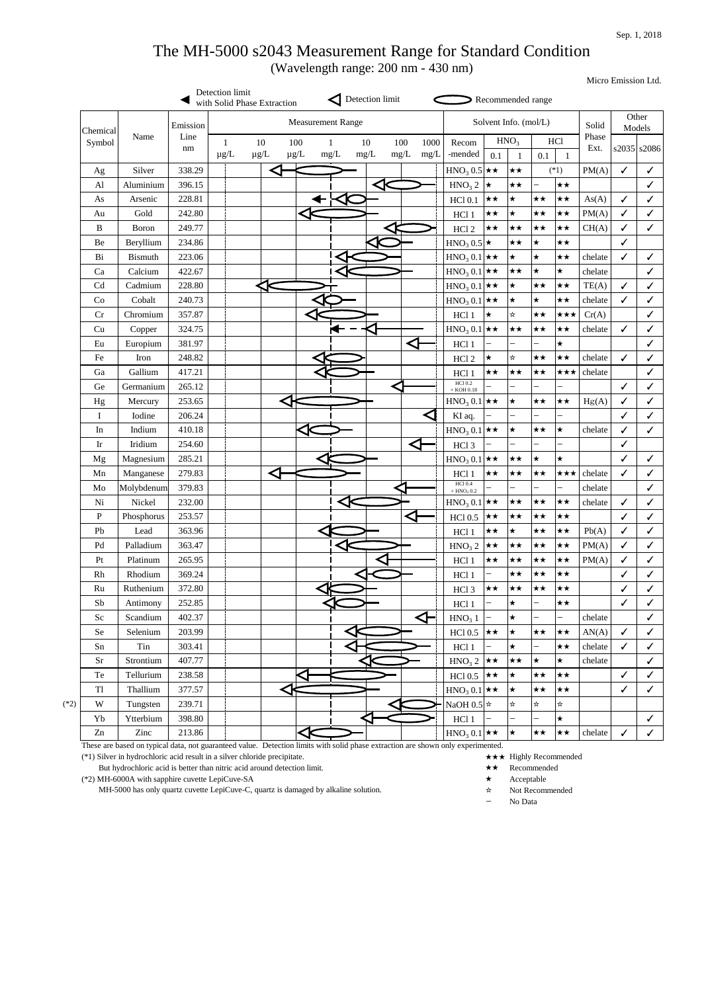Micro Emission Ltd.

|                            |                |            | Detection limit<br>with Solid Phase Extraction |                      |   |                          |           | Detection limit |             |              |                                            |                          | Recommended range        |                                   |                          |               |                 |                 |
|----------------------------|----------------|------------|------------------------------------------------|----------------------|---|--------------------------|-----------|-----------------|-------------|--------------|--------------------------------------------|--------------------------|--------------------------|-----------------------------------|--------------------------|---------------|-----------------|-----------------|
| Chemical                   |                | Emission   |                                                |                      |   | <b>Measurement Range</b> |           |                 |             |              |                                            |                          | Solvent Info. (mol/L)    |                                   |                          | Solid         |                 | Other<br>Models |
| Symbol                     | Name           | Line<br>nm | 1<br>$\mu g/L$                                 | 10<br>$\mu g/L$      |   | 100<br>$\mu g/L$         | 1<br>mg/L | 10<br>$mg/L$    | 100<br>mg/L | 1000<br>mg/L | Recom<br>-mended                           | 0.1                      | HNO <sub>3</sub>         | <b>HCl</b><br>0.1<br>$\mathbf{1}$ |                          | Phase<br>Ext. | $s2035$ $s2086$ |                 |
| Ag                         | Silver         | 338.29     |                                                |                      |   |                          |           |                 |             |              | $HNO3 0.5$ $\star \star$                   |                          | $\star\star$             |                                   | $(*1)$                   | PM(A)         | $\checkmark$    | $\checkmark$    |
| AI                         | Aluminium      | 396.15     |                                                |                      |   |                          |           |                 |             |              | HNO <sub>3</sub> 2                         | $\star$                  | $\star\star$             | $\overline{\phantom{0}}$          | $\star\star$             |               |                 | $\checkmark$    |
| As                         | Arsenic        | 228.81     |                                                |                      |   |                          |           |                 |             |              | <b>HCl 0.1</b>                             | $\star\star$             | $\star$                  | $\star\star$                      | $\star\star$             | As(A)         | $\checkmark$    | $\checkmark$    |
| Au                         | Gold           | 242.80     |                                                |                      |   |                          |           |                 |             |              | HCl 1                                      | $\star\star$             | $\star$                  | $\star\star$                      | $\star\star$             | PM(A)         | $\checkmark$    | $\checkmark$    |
| $\bf{B}$                   | Boron          | 249.77     |                                                |                      |   |                          |           |                 |             |              | HCl <sub>2</sub>                           | $\star\star$             | $\star\star$             | $\star\star$                      | $\star\star$             | CH(A)         | $\checkmark$    | $\checkmark$    |
| Be                         | Beryllium      | 234.86     |                                                |                      |   |                          |           |                 |             |              | $HNO3 0.5$ $\star$                         |                          | $\star\star$             | $\bigstar$                        | $\star\star$             |               | $\checkmark$    |                 |
| <b>Bi</b>                  | <b>Bismuth</b> | 223.06     |                                                |                      |   |                          |           |                 |             |              | $HNO_3 0.1$ $\star \star$                  |                          | $\star$                  | $\star$                           | $\star\star$             | chelate       | $\checkmark$    | $\checkmark$    |
| Ca                         | Calcium        | 422.67     |                                                |                      |   |                          |           |                 |             |              | $HNO3 0.1$ $\star \star$                   |                          | $\star\star$             | $\star$                           | $\star$                  | chelate       |                 | ✓               |
| Cd                         | Cadmium        | 228.80     |                                                | $\blacktriangleleft$ |   |                          |           |                 |             |              | $HNO3 0.1$ $\star \star$                   |                          | $\star$                  | $\star\star$                      | $\star\star$             | TE(A)         | $\checkmark$    | $\checkmark$    |
| Co                         | Cobalt         | 240.73     |                                                |                      |   |                          |           |                 |             |              | $HNO3 0.1$ $\star \star$                   |                          | $\star$                  | $\star$                           | $\star\star$             | chelate       | $\checkmark$    | $\checkmark$    |
| Cr                         | Chromium       | 357.87     |                                                |                      |   |                          |           |                 |             |              | HC11                                       | $\bigstar$               | ☆                        | $\star\star$                      | ★★★                      | Cr(A)         |                 | $\checkmark$    |
| Cu                         | Copper         | 324.75     |                                                |                      |   |                          |           |                 |             |              | $HNO3 0.1$ $\star \star$                   |                          | $\star\star$             | $\star\star$                      | $\star\star$             | chelate       | $\checkmark$    | $\checkmark$    |
| Eu                         | Europium       | 381.97     |                                                |                      |   |                          |           |                 |             |              | HCl 1                                      |                          |                          |                                   | $\star$                  |               |                 | $\checkmark$    |
| Fe                         | Iron           | 248.82     |                                                |                      |   |                          |           |                 |             |              | HCl <sub>2</sub>                           | $\star$                  | ☆                        | $\star\star$                      | $\star\star$             | chelate       | $\checkmark$    | ✓               |
| Ga                         | Gallium        | 417.21     |                                                |                      |   |                          |           |                 |             |              | HCl 1                                      | $\star\star$             | $\star\star$             | ★★                                | ★★★                      | chelate       |                 | $\checkmark$    |
| Ge                         | Germanium      | 265.12     |                                                |                      |   |                          |           |                 |             |              | <b>HCl 0.2</b><br>$+$ KOH 0.18             |                          |                          | $\overline{\phantom{0}}$          | $\overline{\phantom{0}}$ |               | $\checkmark$    | $\checkmark$    |
| Hg                         | Mercury        | 253.65     |                                                |                      |   |                          |           |                 |             |              | $HNO3 0.1$ $\star \star$                   |                          | $\star$                  | $\star\star$                      | $\star\star$             | Hg(A)         | $\checkmark$    | ✓               |
| I                          | Iodine         | 206.24     |                                                |                      |   |                          |           |                 |             |              | KI aq.                                     | $\qquad \qquad -$        | $\overline{\phantom{0}}$ | $\overline{\phantom{0}}$          | $\overline{\phantom{0}}$ |               | $\checkmark$    | ✓               |
| In                         | Indium         | 410.18     |                                                |                      |   |                          |           |                 |             |              | $HNO3 0.1$ $\star \star$                   |                          | $\star$                  | $\star\star$                      | $\star$                  | chelate       | $\checkmark$    | $\checkmark$    |
| $\mathop{\rm Ir}\nolimits$ | Iridium        | 254.60     |                                                |                      |   |                          |           |                 |             |              | HCl <sub>3</sub>                           | $\overline{\phantom{0}}$ |                          |                                   |                          |               | $\checkmark$    |                 |
| Mg                         | Magnesium      | 285.21     |                                                |                      |   |                          |           |                 |             |              | $HMO_3 0.1$ $\star \star$                  |                          | ★★                       | ∣★                                | ★                        |               | $\checkmark$    | $\checkmark$    |
| Mn                         | Manganese      | 279.83     |                                                |                      | < |                          |           |                 |             |              | HCl 1                                      | $\star\star$             | $\star\star$             | $\star\star$                      | ★★★                      | chelate       | $\checkmark$    | $\checkmark$    |
| Mo                         | Molybdenum     | 379.83     |                                                |                      |   |                          |           |                 |             |              | <b>HCl 0.4</b><br>$+$ HNO <sub>3</sub> 0.2 |                          |                          |                                   | -                        | chelate       |                 | $\checkmark$    |
| Ni                         | Nickel         | 232.00     |                                                |                      |   |                          |           |                 |             |              | $HNO3 0.1$ $\star \star$                   |                          | $\star\star$             | $\star\star$                      | $\star\star$             | chelate       | $\checkmark$    | $\checkmark$    |
| ${\bf P}$                  | Phosphorus     | 253.57     |                                                |                      |   |                          |           |                 |             |              | <b>HCl 0.5</b>                             | $\star\star$             | $\star\star$             | ★★                                | $\star\star$             |               | $\checkmark$    | $\checkmark$    |
| Pb                         | Lead           | 363.96     |                                                |                      |   |                          |           |                 |             |              | HC11                                       | $\star\star$             | $\star$                  | $\star\star$                      | $\star\star$             | Pb(A)         | $\checkmark$    | $\checkmark$    |
| Pd                         | Palladium      | 363.47     |                                                |                      |   |                          |           |                 |             |              | HNO <sub>3</sub> 2                         | $\star\star$             | $\star\star$             | ★★                                | $\star\star$             | PM(A)         | $\checkmark$    | $\checkmark$    |
| Pt                         | Platinum       | 265.95     |                                                |                      |   |                          |           | ζ,              |             |              | HCl 1                                      | $\star\star$             | $\star\star$             | $\star\star$                      | $\star\star$             | PM(A)         | $\checkmark$    | $\checkmark$    |
| Rh                         | Rhodium        | 369.24     |                                                |                      |   |                          |           |                 |             |              | HC11                                       | $\qquad \qquad -$        | $\star\star$             | ★★                                | $\star\star$             |               | $\checkmark$    | $\checkmark$    |
| Ru                         | Ruthenium      | 372.80     |                                                |                      |   |                          |           |                 |             |              | HCl <sub>3</sub>                           | $\star\star$             | $\star\star$             | ★★                                | $\star\star$             |               | $\checkmark$    | $\checkmark$    |
| Sb                         | Antimony       | 252.85     |                                                |                      |   |                          |           |                 |             |              | HC11                                       | —                        | $\star$                  |                                   | $\star\star$             |               | $\checkmark$    | $\checkmark$    |
| Sc                         | Scandium       | 402.37     |                                                |                      |   |                          |           |                 |             | ◁⊣           | HNO <sub>3</sub> 1                         | $\overline{\phantom{0}}$ | $\star$                  | $\overline{\phantom{0}}$          | $\overline{\phantom{0}}$ | chelate       |                 | $\checkmark$    |
| Se                         | Selenium       | 203.99     |                                                |                      |   |                          |           |                 |             |              | <b>HCl 0.5</b>                             | $\star\star$             | $\star$                  | $\star\star$                      | $\star\star$             | AN(A)         | $\checkmark$    | $\checkmark$    |
| Sn                         | Tin            | 303.41     |                                                |                      |   |                          |           |                 |             |              | HCl 1                                      |                          | $\star$                  | $\overline{\phantom{0}}$          | $\star\star$             | chelate       | $\checkmark$    | $\checkmark$    |
| <b>Sr</b>                  | Strontium      | 407.77     |                                                |                      |   |                          |           |                 |             |              | HNO <sub>3</sub> 2                         | $\star\star$             | $\star\star$             | $\star$                           | $\star$                  | chelate       |                 | $\checkmark$    |
| Te                         | Tellurium      | 238.58     |                                                |                      |   |                          |           |                 |             |              | <b>HCl 0.5</b>                             | $\star\star$             | $\bigstar$               | ★★                                | ★★                       |               | $\checkmark$    | $\checkmark$    |
| T <sub>1</sub>             | Thallium       | 377.57     |                                                |                      |   |                          |           |                 |             |              | $HNO3 0.1$ $\star \star$                   |                          | $\star$                  | $\star\star$                      | $\star\star$             |               | $\checkmark$    | $\checkmark$    |
| W                          | Tungsten       | 239.71     |                                                |                      |   |                          |           |                 |             |              | NaOH 0.5 $\star$                           |                          | $\star$                  | ☆                                 | ☆                        |               |                 |                 |
| Yb                         | Ytterbium      | 398.80     |                                                |                      |   |                          |           |                 |             |              | HCl 1                                      | $\qquad \qquad -$        | $\overline{\phantom{0}}$ | $\overline{\phantom{0}}$          | $\bigstar$               |               |                 | $\checkmark$    |
| Zn                         | Zinc           | 213.86     |                                                |                      |   |                          |           |                 |             |              | $HNO3 0.1$ $\star \star$                   |                          | $\star$                  | ★★                                | ★★                       | chelate       | $\checkmark$    | $\checkmark$    |

These are based on typical data, not guaranteed value. Detection limits with solid phase extraction are shown only experimented.

(\*1) Silver in hydrochloric acid result in a silver chloride precipitate. ★★★ Highly Recommended

But hydrochloric acid is better than nitric acid around detection limit.  $\star \star$  Recommended

(\*2) MH-6000A with sapphire cuvette LepiCuve-SA ★ Acceptable

MH-5000 has only quartz cuvette LepiCuve-C, quartz is damaged by alkaline solution.  $\star$  Not Recommended

- 
- 
- 
- 
- No Data

## The MH-5000 s2043 Measurement Range for Standard Condition

(Wavelength range: 200 nm - 430 nm)